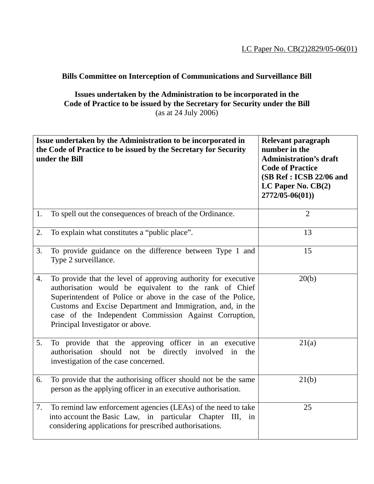## **Bills Committee on Interception of Communications and Surveillance Bill**

**Issues undertaken by the Administration to be incorporated in the Code of Practice to be issued by the Secretary for Security under the Bill**  (as at 24 July 2006)

|    | Issue undertaken by the Administration to be incorporated in<br>the Code of Practice to be issued by the Secretary for Security<br>under the Bill                                                                                                                                                                                                    | Relevant paragraph<br>number in the<br><b>Administration's draft</b><br><b>Code of Practice</b><br>(SB Ref: ICSB 22/06 and<br>LC Paper No. $CB(2)$<br>$2772/05 - 06(01)$ |
|----|------------------------------------------------------------------------------------------------------------------------------------------------------------------------------------------------------------------------------------------------------------------------------------------------------------------------------------------------------|--------------------------------------------------------------------------------------------------------------------------------------------------------------------------|
| 1. | To spell out the consequences of breach of the Ordinance.                                                                                                                                                                                                                                                                                            | $\overline{2}$                                                                                                                                                           |
| 2. | To explain what constitutes a "public place".                                                                                                                                                                                                                                                                                                        | 13                                                                                                                                                                       |
| 3. | To provide guidance on the difference between Type 1 and<br>Type 2 surveillance.                                                                                                                                                                                                                                                                     | 15                                                                                                                                                                       |
| 4. | To provide that the level of approving authority for executive<br>authorisation would be equivalent to the rank of Chief<br>Superintendent of Police or above in the case of the Police,<br>Customs and Excise Department and Immigration, and, in the<br>case of the Independent Commission Against Corruption,<br>Principal Investigator or above. | 20(b)                                                                                                                                                                    |
| 5. | To provide that the approving officer in an executive<br>not be directly<br>authorisation<br>should<br>involved<br>in<br>the<br>investigation of the case concerned.                                                                                                                                                                                 | 21(a)                                                                                                                                                                    |
| 6. | To provide that the authorising officer should not be the same<br>person as the applying officer in an executive authorisation.                                                                                                                                                                                                                      | 21(b)                                                                                                                                                                    |
| 7. | To remind law enforcement agencies (LEAs) of the need to take<br>into account the Basic Law, in particular Chapter<br>$III$ ,<br>in<br>considering applications for prescribed authorisations.                                                                                                                                                       | 25                                                                                                                                                                       |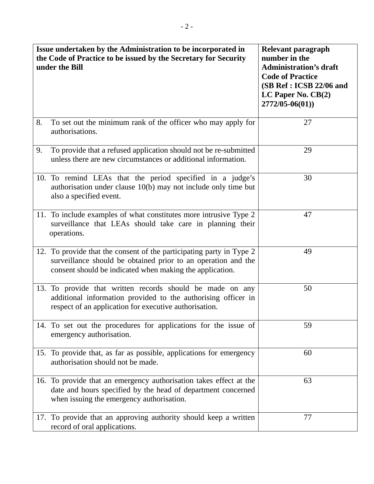| Issue undertaken by the Administration to be incorporated in<br>the Code of Practice to be issued by the Secretary for Security<br>under the Bill                                                 | Relevant paragraph<br>number in the<br><b>Administration's draft</b><br><b>Code of Practice</b><br>(SB Ref: ICSB 22/06 and<br>LC Paper No. $CB(2)$<br>$2772/05 - 06(01)$ |
|---------------------------------------------------------------------------------------------------------------------------------------------------------------------------------------------------|--------------------------------------------------------------------------------------------------------------------------------------------------------------------------|
| 8.<br>To set out the minimum rank of the officer who may apply for<br>authorisations.                                                                                                             | 27                                                                                                                                                                       |
| To provide that a refused application should not be re-submitted<br>9.<br>unless there are new circumstances or additional information.                                                           | 29                                                                                                                                                                       |
| 10. To remind LEAs that the period specified in a judge's<br>authorisation under clause 10(b) may not include only time but<br>also a specified event.                                            | 30                                                                                                                                                                       |
| 11. To include examples of what constitutes more intrusive Type 2<br>surveillance that LEAs should take care in planning their<br>operations.                                                     | 47                                                                                                                                                                       |
| 12. To provide that the consent of the participating party in Type 2<br>surveillance should be obtained prior to an operation and the<br>consent should be indicated when making the application. | 49                                                                                                                                                                       |
| 13. To provide that written records should be made on any<br>additional information provided to the authorising officer in<br>respect of an application for executive authorisation.              | 50                                                                                                                                                                       |
| 14. To set out the procedures for applications for the issue of<br>emergency authorisation.                                                                                                       | 59                                                                                                                                                                       |
| 15. To provide that, as far as possible, applications for emergency<br>authorisation should not be made.                                                                                          | 60                                                                                                                                                                       |
| 16. To provide that an emergency authorisation takes effect at the<br>date and hours specified by the head of department concerned<br>when issuing the emergency authorisation.                   | 63                                                                                                                                                                       |
| 17. To provide that an approving authority should keep a written<br>record of oral applications.                                                                                                  | 77                                                                                                                                                                       |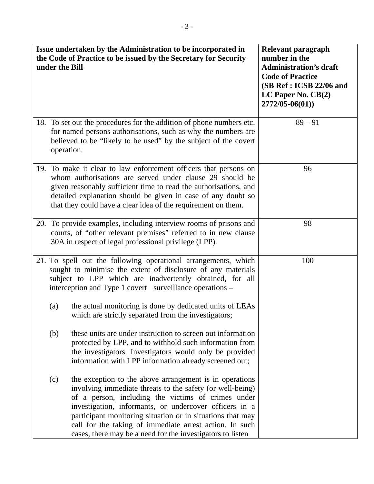| Issue undertaken by the Administration to be incorporated in<br>the Code of Practice to be issued by the Secretary for Security<br>under the Bill |            |                                                                                                                                                                                                                                                                                                                                                                                                                             | Relevant paragraph<br>number in the<br><b>Administration's draft</b><br><b>Code of Practice</b><br>(SB Ref: ICSB 22/06 and<br>LC Paper No. $CB(2)$<br>$2772/05 - 06(01)$ |
|---------------------------------------------------------------------------------------------------------------------------------------------------|------------|-----------------------------------------------------------------------------------------------------------------------------------------------------------------------------------------------------------------------------------------------------------------------------------------------------------------------------------------------------------------------------------------------------------------------------|--------------------------------------------------------------------------------------------------------------------------------------------------------------------------|
|                                                                                                                                                   | operation. | 18. To set out the procedures for the addition of phone numbers etc.<br>for named persons authorisations, such as why the numbers are<br>believed to be "likely to be used" by the subject of the covert                                                                                                                                                                                                                    | $89 - 91$                                                                                                                                                                |
|                                                                                                                                                   |            | 19. To make it clear to law enforcement officers that persons on<br>whom authorisations are served under clause 29 should be<br>given reasonably sufficient time to read the authorisations, and<br>detailed explanation should be given in case of any doubt so<br>that they could have a clear idea of the requirement on them.                                                                                           | 96                                                                                                                                                                       |
|                                                                                                                                                   |            | 20. To provide examples, including interview rooms of prisons and<br>courts, of "other relevant premises" referred to in new clause<br>30A in respect of legal professional privilege (LPP).                                                                                                                                                                                                                                | 98                                                                                                                                                                       |
|                                                                                                                                                   |            | 21. To spell out the following operational arrangements, which<br>sought to minimise the extent of disclosure of any materials<br>subject to LPP which are inadvertently obtained, for all<br>interception and Type 1 covert surveillance operations -                                                                                                                                                                      | 100                                                                                                                                                                      |
|                                                                                                                                                   | (a)        | the actual monitoring is done by dedicated units of LEAs<br>which are strictly separated from the investigators;                                                                                                                                                                                                                                                                                                            |                                                                                                                                                                          |
|                                                                                                                                                   | (b)        | these units are under instruction to screen out information<br>protected by LPP, and to withhold such information from<br>the investigators. Investigators would only be provided<br>information with LPP information already screened out;                                                                                                                                                                                 |                                                                                                                                                                          |
|                                                                                                                                                   | (c)        | the exception to the above arrangement is in operations<br>involving immediate threats to the safety (or well-being)<br>of a person, including the victims of crimes under<br>investigation, informants, or undercover officers in a<br>participant monitoring situation or in situations that may<br>call for the taking of immediate arrest action. In such<br>cases, there may be a need for the investigators to listen |                                                                                                                                                                          |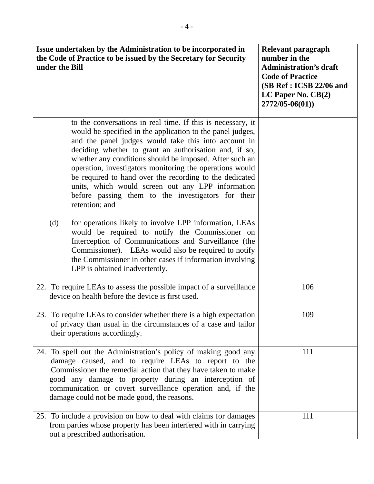| Issue undertaken by the Administration to be incorporated in<br>the Code of Practice to be issued by the Secretary for Security<br>under the Bill                                                                                                                                                                                                                                                                                                                                                                                                          | Relevant paragraph<br>number in the<br><b>Administration's draft</b><br><b>Code of Practice</b><br>(SB Ref: ICSB 22/06 and<br>LC Paper No. $CB(2)$<br>2772/05-06(01)) |
|------------------------------------------------------------------------------------------------------------------------------------------------------------------------------------------------------------------------------------------------------------------------------------------------------------------------------------------------------------------------------------------------------------------------------------------------------------------------------------------------------------------------------------------------------------|-----------------------------------------------------------------------------------------------------------------------------------------------------------------------|
| to the conversations in real time. If this is necessary, it<br>would be specified in the application to the panel judges,<br>and the panel judges would take this into account in<br>deciding whether to grant an authorisation and, if so,<br>whether any conditions should be imposed. After such an<br>operation, investigators monitoring the operations would<br>be required to hand over the recording to the dedicated<br>units, which would screen out any LPP information<br>before passing them to the investigators for their<br>retention; and |                                                                                                                                                                       |
| (d)<br>for operations likely to involve LPP information, LEAs<br>would be required to notify the Commissioner on<br>Interception of Communications and Surveillance (the<br>Commissioner). LEAs would also be required to notify<br>the Commissioner in other cases if information involving<br>LPP is obtained inadvertently.                                                                                                                                                                                                                             |                                                                                                                                                                       |
| 22. To require LEAs to assess the possible impact of a surveillance<br>device on health before the device is first used.                                                                                                                                                                                                                                                                                                                                                                                                                                   | 106                                                                                                                                                                   |
| To require LEAs to consider whether there is a high expectation<br>23.<br>of privacy than usual in the circumstances of a case and tailor<br>their operations accordingly.                                                                                                                                                                                                                                                                                                                                                                                 | 109                                                                                                                                                                   |
| 24. To spell out the Administration's policy of making good any<br>damage caused, and to require LEAs to report to the<br>Commissioner the remedial action that they have taken to make<br>good any damage to property during an interception of<br>communication or covert surveillance operation and, if the<br>damage could not be made good, the reasons.                                                                                                                                                                                              | 111                                                                                                                                                                   |
| 25. To include a provision on how to deal with claims for damages<br>from parties whose property has been interfered with in carrying<br>out a prescribed authorisation.                                                                                                                                                                                                                                                                                                                                                                                   | 111                                                                                                                                                                   |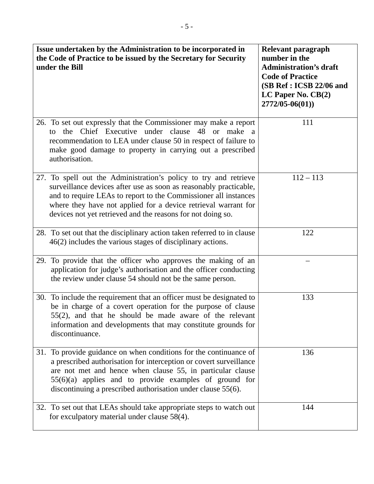| Issue undertaken by the Administration to be incorporated in<br>the Code of Practice to be issued by the Secretary for Security<br>under the Bill                                                                                                                                                                                         | Relevant paragraph<br>number in the<br><b>Administration's draft</b><br><b>Code of Practice</b><br>(SB Ref: ICSB 22/06 and<br>LC Paper No. $CB(2)$<br>$2772/05 - 06(01)$ |
|-------------------------------------------------------------------------------------------------------------------------------------------------------------------------------------------------------------------------------------------------------------------------------------------------------------------------------------------|--------------------------------------------------------------------------------------------------------------------------------------------------------------------------|
| 26. To set out expressly that the Commissioner may make a report<br>Chief Executive under clause 48 or make<br>the<br>tο<br><sub>a</sub><br>recommendation to LEA under clause 50 in respect of failure to<br>make good damage to property in carrying out a prescribed<br>authorisation.                                                 | 111                                                                                                                                                                      |
| 27. To spell out the Administration's policy to try and retrieve<br>surveillance devices after use as soon as reasonably practicable,<br>and to require LEAs to report to the Commissioner all instances<br>where they have not applied for a device retrieval warrant for<br>devices not yet retrieved and the reasons for not doing so. | $112 - 113$                                                                                                                                                              |
| 28. To set out that the disciplinary action taken referred to in clause<br>46(2) includes the various stages of disciplinary actions.                                                                                                                                                                                                     | 122                                                                                                                                                                      |
| 29. To provide that the officer who approves the making of an<br>application for judge's authorisation and the officer conducting<br>the review under clause 54 should not be the same person.                                                                                                                                            |                                                                                                                                                                          |
| 30. To include the requirement that an officer must be designated to<br>be in charge of a covert operation for the purpose of clause<br>$55(2)$ , and that he should be made aware of the relevant<br>information and developments that may constitute grounds for<br>discontinuance.                                                     | 133                                                                                                                                                                      |
| 31. To provide guidance on when conditions for the continuance of<br>a prescribed authorisation for interception or covert surveillance<br>are not met and hence when clause 55, in particular clause<br>$55(6)(a)$ applies and to provide examples of ground for<br>discontinuing a prescribed authorisation under clause 55(6).         | 136                                                                                                                                                                      |
| 32. To set out that LEAs should take appropriate steps to watch out<br>for exculpatory material under clause 58(4).                                                                                                                                                                                                                       | 144                                                                                                                                                                      |